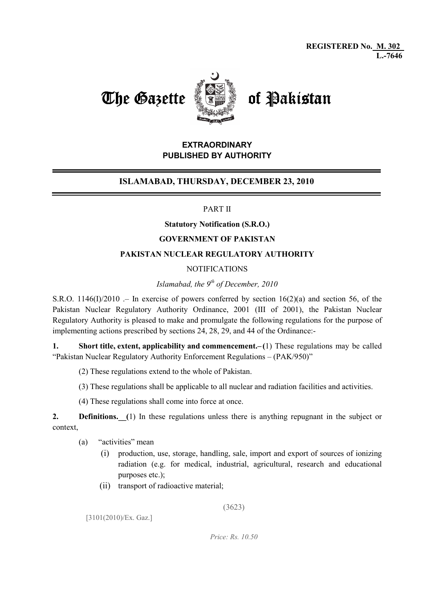

# EXTRAORDINARY PUBLISHED BY AUTHORITY

# ISLAMABAD, THURSDAY, DECEMBER 23, 2010

### PART II

#### Statutory Notification (S.R.O.)

#### GOVERNMENT OF PAKISTAN

### PAKISTAN NUCLEAR REGULATORY AUTHORITY

#### NOTIFICATIONS

# Islamabad, the  $9<sup>th</sup>$  of December, 2010

S.R.O. 1146(I)/2010 .– In exercise of powers conferred by section 16(2)(a) and section 56, of the Pakistan Nuclear Regulatory Authority Ordinance, 2001 (III of 2001), the Pakistan Nuclear Regulatory Authority is pleased to make and promulgate the following regulations for the purpose of implementing actions prescribed by sections 24, 28, 29, and 44 of the Ordinance:-

1. Short title, extent, applicability and commencement.– (1) These regulations may be called "Pakistan Nuclear Regulatory Authority Enforcement Regulations – (PAK/950)"

- (2) These regulations extend to the whole of Pakistan.
- (3) These regulations shall be applicable to all nuclear and radiation facilities and activities.
- (4) These regulations shall come into force at once.

2. Definitions. (1) In these regulations unless there is anything repugnant in the subject or context,

- (a) "activities" mean
	- (i) production, use, storage, handling, sale, import and export of sources of ionizing radiation (e.g. for medical, industrial, agricultural, research and educational purposes etc.);
	- (ii) transport of radioactive material;

(3623)

[3101(2010)/Ex. Gaz.]

Price: Rs. 10.50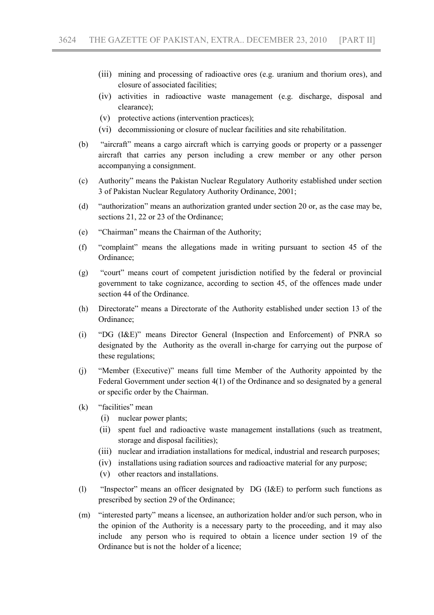- (iii) mining and processing of radioactive ores (e.g. uranium and thorium ores), and closure of associated facilities;
- (iv) activities in radioactive waste management (e.g. discharge, disposal and clearance);
- (v) protective actions (intervention practices);
- (vi) decommissioning or closure of nuclear facilities and site rehabilitation.
- (b) "aircraft" means a cargo aircraft which is carrying goods or property or a passenger aircraft that carries any person including a crew member or any other person accompanying a consignment.
- (c) Authority" means the Pakistan Nuclear Regulatory Authority established under section 3 of Pakistan Nuclear Regulatory Authority Ordinance, 2001;
- (d) "authorization" means an authorization granted under section 20 or, as the case may be, sections 21, 22 or 23 of the Ordinance;
- (e) "Chairman" means the Chairman of the Authority;
- (f) "complaint" means the allegations made in writing pursuant to section 45 of the Ordinance;
- (g) "court" means court of competent jurisdiction notified by the federal or provincial government to take cognizance, according to section 45, of the offences made under section 44 of the Ordinance.
- (h) Directorate" means a Directorate of the Authority established under section 13 of the Ordinance;
- (i) "DG (I&E)" means Director General (Inspection and Enforcement) of PNRA so designated by the Authority as the overall in-charge for carrying out the purpose of these regulations;
- (j) "Member (Executive)" means full time Member of the Authority appointed by the Federal Government under section 4(1) of the Ordinance and so designated by a general or specific order by the Chairman.
- (k) "facilities" mean
	- (i) nuclear power plants;
	- (ii) spent fuel and radioactive waste management installations (such as treatment, storage and disposal facilities);
	- (iii) nuclear and irradiation installations for medical, industrial and research purposes;
	- (iv) installations using radiation sources and radioactive material for any purpose;
	- (v) other reactors and installations.
- (l) "Inspector" means an officer designated by DG (I&E) to perform such functions as prescribed by section 29 of the Ordinance;
- (m) "interested party" means a licensee, an authorization holder and/or such person, who in the opinion of the Authority is a necessary party to the proceeding, and it may also include any person who is required to obtain a licence under section 19 of the Ordinance but is not the holder of a licence;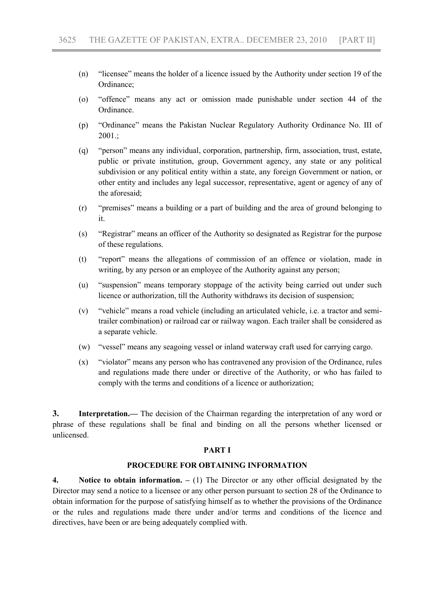- (n) "licensee" means the holder of a licence issued by the Authority under section 19 of the Ordinance;
- (o) "offence" means any act or omission made punishable under section 44 of the Ordinance.
- (p) "Ordinance" means the Pakistan Nuclear Regulatory Authority Ordinance No. III of 2001.;
- (q) "person" means any individual, corporation, partnership, firm, association, trust, estate, public or private institution, group, Government agency, any state or any political subdivision or any political entity within a state, any foreign Government or nation, or other entity and includes any legal successor, representative, agent or agency of any of the aforesaid;
- (r) "premises" means a building or a part of building and the area of ground belonging to it.
- (s) "Registrar" means an officer of the Authority so designated as Registrar for the purpose of these regulations.
- (t) "report" means the allegations of commission of an offence or violation, made in writing, by any person or an employee of the Authority against any person;
- (u) "suspension" means temporary stoppage of the activity being carried out under such licence or authorization, till the Authority withdraws its decision of suspension;
- (v) "vehicle" means a road vehicle (including an articulated vehicle, i.e. a tractor and semitrailer combination) or railroad car or railway wagon. Each trailer shall be considered as a separate vehicle.
- (w) "vessel" means any seagoing vessel or inland waterway craft used for carrying cargo.
- (x) "violator" means any person who has contravened any provision of the Ordinance, rules and regulations made there under or directive of the Authority, or who has failed to comply with the terms and conditions of a licence or authorization;

3. Interpretation.— The decision of the Chairman regarding the interpretation of any word or phrase of these regulations shall be final and binding on all the persons whether licensed or unlicensed.

#### PART I

#### PROCEDURE FOR OBTAINING INFORMATION

4. Notice to obtain information.  $- (1)$  The Director or any other official designated by the Director may send a notice to a licensee or any other person pursuant to section 28 of the Ordinance to obtain information for the purpose of satisfying himself as to whether the provisions of the Ordinance or the rules and regulations made there under and/or terms and conditions of the licence and directives, have been or are being adequately complied with.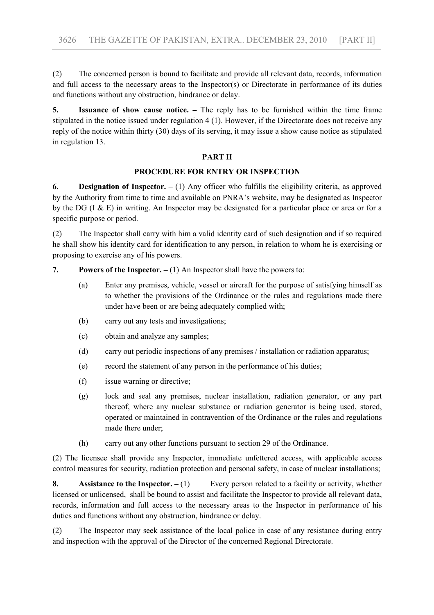(2) The concerned person is bound to facilitate and provide all relevant data, records, information and full access to the necessary areas to the Inspector(s) or Directorate in performance of its duties and functions without any obstruction, hindrance or delay.

5. Issuance of show cause notice. – The reply has to be furnished within the time frame stipulated in the notice issued under regulation 4 (1). However, if the Directorate does not receive any reply of the notice within thirty (30) days of its serving, it may issue a show cause notice as stipulated in regulation 13.

### PART II

### PROCEDURE FOR ENTRY OR INSPECTION

6. **Designation of Inspector.**  $- (1)$  Any officer who fulfills the eligibility criteria, as approved by the Authority from time to time and available on PNRA's website, may be designated as Inspector by the DG (I & E) in writing. An Inspector may be designated for a particular place or area or for a specific purpose or period.

(2) The Inspector shall carry with him a valid identity card of such designation and if so required he shall show his identity card for identification to any person, in relation to whom he is exercising or proposing to exercise any of his powers.

7. Powers of the Inspector.  $- (1)$  An Inspector shall have the powers to:

- (a) Enter any premises, vehicle, vessel or aircraft for the purpose of satisfying himself as to whether the provisions of the Ordinance or the rules and regulations made there under have been or are being adequately complied with;
- (b) carry out any tests and investigations;
- (c) obtain and analyze any samples;
- (d) carry out periodic inspections of any premises / installation or radiation apparatus;
- (e) record the statement of any person in the performance of his duties;
- (f) issue warning or directive;
- (g) lock and seal any premises, nuclear installation, radiation generator, or any part thereof, where any nuclear substance or radiation generator is being used, stored, operated or maintained in contravention of the Ordinance or the rules and regulations made there under;
- (h) carry out any other functions pursuant to section 29 of the Ordinance.

(2) The licensee shall provide any Inspector, immediate unfettered access, with applicable access control measures for security, radiation protection and personal safety, in case of nuclear installations;

8. Assistance to the Inspector.  $-(1)$  Every person related to a facility or activity, whether licensed or unlicensed, shall be bound to assist and facilitate the Inspector to provide all relevant data, records, information and full access to the necessary areas to the Inspector in performance of his duties and functions without any obstruction, hindrance or delay.

(2) The Inspector may seek assistance of the local police in case of any resistance during entry and inspection with the approval of the Director of the concerned Regional Directorate.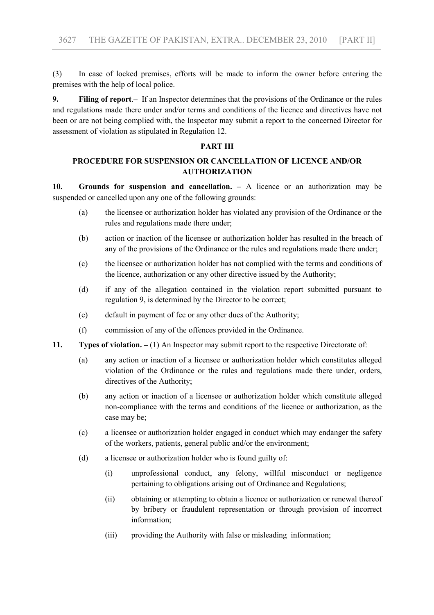(3) In case of locked premises, efforts will be made to inform the owner before entering the premises with the help of local police.

9. Filing of report.– If an Inspector determines that the provisions of the Ordinance or the rules and regulations made there under and/or terms and conditions of the licence and directives have not been or are not being complied with, the Inspector may submit a report to the concerned Director for assessment of violation as stipulated in Regulation 12.

### PART III

# PROCEDURE FOR SUSPENSION OR CANCELLATION OF LICENCE AND/OR AUTHORIZATION

10. Grounds for suspension and cancellation. – A licence or an authorization may be suspended or cancelled upon any one of the following grounds:

- (a) the licensee or authorization holder has violated any provision of the Ordinance or the rules and regulations made there under;
- (b) action or inaction of the licensee or authorization holder has resulted in the breach of any of the provisions of the Ordinance or the rules and regulations made there under;
- (c) the licensee or authorization holder has not complied with the terms and conditions of the licence, authorization or any other directive issued by the Authority;
- (d) if any of the allegation contained in the violation report submitted pursuant to regulation 9, is determined by the Director to be correct;
- (e) default in payment of fee or any other dues of the Authority;
- (f) commission of any of the offences provided in the Ordinance.
- 11. Types of violation. (1) An Inspector may submit report to the respective Directorate of:
	- (a) any action or inaction of a licensee or authorization holder which constitutes alleged violation of the Ordinance or the rules and regulations made there under, orders, directives of the Authority;
	- (b) any action or inaction of a licensee or authorization holder which constitute alleged non-compliance with the terms and conditions of the licence or authorization, as the case may be;
	- (c) a licensee or authorization holder engaged in conduct which may endanger the safety of the workers, patients, general public and/or the environment;
	- (d) a licensee or authorization holder who is found guilty of:
		- (i) unprofessional conduct, any felony, willful misconduct or negligence pertaining to obligations arising out of Ordinance and Regulations;
		- (ii) obtaining or attempting to obtain a licence or authorization or renewal thereof by bribery or fraudulent representation or through provision of incorrect information;
		- (iii) providing the Authority with false or misleading information;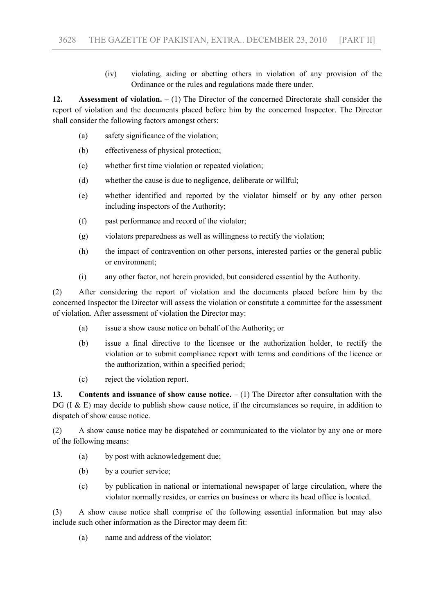(iv) violating, aiding or abetting others in violation of any provision of the Ordinance or the rules and regulations made there under.

12. Assessment of violation. – (1) The Director of the concerned Directorate shall consider the report of violation and the documents placed before him by the concerned Inspector. The Director shall consider the following factors amongst others:

- (a) safety significance of the violation;
- (b) effectiveness of physical protection;
- (c) whether first time violation or repeated violation;
- (d) whether the cause is due to negligence, deliberate or willful;
- (e) whether identified and reported by the violator himself or by any other person including inspectors of the Authority;
- (f) past performance and record of the violator;
- (g) violators preparedness as well as willingness to rectify the violation;
- (h) the impact of contravention on other persons, interested parties or the general public or environment;
- (i) any other factor, not herein provided, but considered essential by the Authority.

(2) After considering the report of violation and the documents placed before him by the concerned Inspector the Director will assess the violation or constitute a committee for the assessment of violation. After assessment of violation the Director may:

- (a) issue a show cause notice on behalf of the Authority; or
- (b) issue a final directive to the licensee or the authorization holder, to rectify the violation or to submit compliance report with terms and conditions of the licence or the authorization, within a specified period;
- (c) reject the violation report.

13. Contents and issuance of show cause notice.  $- (1)$  The Director after consultation with the DG ( $I \& E$ ) may decide to publish show cause notice, if the circumstances so require, in addition to dispatch of show cause notice.

(2) A show cause notice may be dispatched or communicated to the violator by any one or more of the following means:

- (a) by post with acknowledgement due;
- (b) by a courier service;
- (c) by publication in national or international newspaper of large circulation, where the violator normally resides, or carries on business or where its head office is located.

(3) A show cause notice shall comprise of the following essential information but may also include such other information as the Director may deem fit:

(a) name and address of the violator;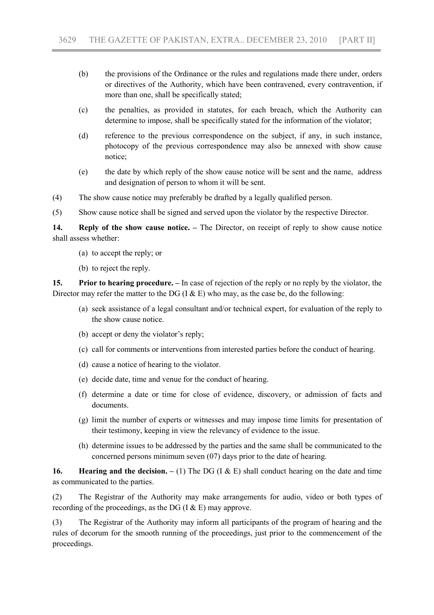- (b) the provisions of the Ordinance or the rules and regulations made there under, orders or directives of the Authority, which have been contravened, every contravention, if more than one, shall be specifically stated;
- (c) the penalties, as provided in statutes, for each breach, which the Authority can determine to impose, shall be specifically stated for the information of the violator;
- (d) reference to the previous correspondence on the subject, if any, in such instance, photocopy of the previous correspondence may also be annexed with show cause notice;
- (e) the date by which reply of the show cause notice will be sent and the name, address and designation of person to whom it will be sent.
- (4) The show cause notice may preferably be drafted by a legally qualified person.

(5) Show cause notice shall be signed and served upon the violator by the respective Director.

14. Reply of the show cause notice. – The Director, on receipt of reply to show cause notice shall assess whether:

- (a) to accept the reply; or
- (b) to reject the reply.

15. Prior to hearing procedure. – In case of rejection of the reply or no reply by the violator, the Director may refer the matter to the DG (I  $\&$  E) who may, as the case be, do the following:

- (a) seek assistance of a legal consultant and/or technical expert, for evaluation of the reply to the show cause notice.
- (b) accept or deny the violator's reply;
- (c) call for comments or interventions from interested parties before the conduct of hearing.
- (d) cause a notice of hearing to the violator.
- (e) decide date, time and venue for the conduct of hearing.
- (f) determine a date or time for close of evidence, discovery, or admission of facts and documents.
- (g) limit the number of experts or witnesses and may impose time limits for presentation of their testimony, keeping in view the relevancy of evidence to the issue.
- (h) determine issues to be addressed by the parties and the same shall be communicated to the concerned persons minimum seven (07) days prior to the date of hearing.

16. Hearing and the decision.  $- (1)$  The DG (I & E) shall conduct hearing on the date and time as communicated to the parties.

(2) The Registrar of the Authority may make arrangements for audio, video or both types of recording of the proceedings, as the DG  $(I & E)$  may approve.

(3) The Registrar of the Authority may inform all participants of the program of hearing and the rules of decorum for the smooth running of the proceedings, just prior to the commencement of the proceedings.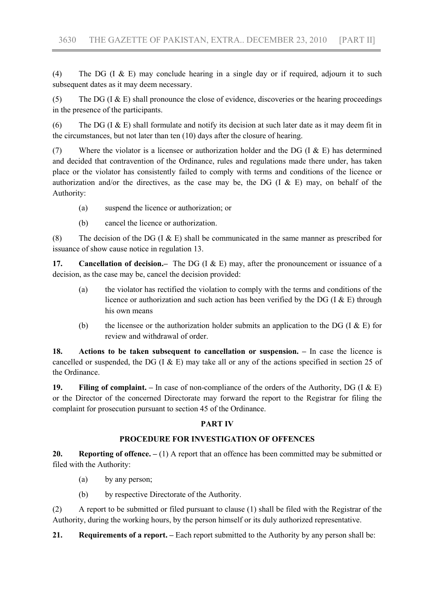(4) The DG (I & E) may conclude hearing in a single day or if required, adjourn it to such subsequent dates as it may deem necessary.

(5) The DG ( $I \& E$ ) shall pronounce the close of evidence, discoveries or the hearing proceedings in the presence of the participants.

(6) The DG (I & E) shall formulate and notify its decision at such later date as it may deem fit in the circumstances, but not later than ten (10) days after the closure of hearing.

(7) Where the violator is a licensee or authorization holder and the DG (I  $\&$  E) has determined and decided that contravention of the Ordinance, rules and regulations made there under, has taken place or the violator has consistently failed to comply with terms and conditions of the licence or authorization and/or the directives, as the case may be, the DG  $($ I & E) may, on behalf of the Authority:

- (a) suspend the licence or authorization; or
- (b) cancel the licence or authorization.

(8) The decision of the DG (I  $\&$  E) shall be communicated in the same manner as prescribed for issuance of show cause notice in regulation 13.

17. Cancellation of decision.– The DG (I & E) may, after the pronouncement or issuance of a decision, as the case may be, cancel the decision provided:

- (a) the violator has rectified the violation to comply with the terms and conditions of the licence or authorization and such action has been verified by the DG (I  $\&$  E) through his own means
- (b) the licensee or the authorization holder submits an application to the DG (I  $\&$  E) for review and withdrawal of order.

18. Actions to be taken subsequent to cancellation or suspension. – In case the licence is cancelled or suspended, the DG (I  $\&$  E) may take all or any of the actions specified in section 25 of the Ordinance.

19. Filing of complaint. – In case of non-compliance of the orders of the Authority, DG (I  $\&$  E) or the Director of the concerned Directorate may forward the report to the Registrar for filing the complaint for prosecution pursuant to section 45 of the Ordinance.

## PART IV

## PROCEDURE FOR INVESTIGATION OF OFFENCES

20. Reporting of offence.  $- (1)$  A report that an offence has been committed may be submitted or filed with the Authority:

- (a) by any person;
- (b) by respective Directorate of the Authority.

(2) A report to be submitted or filed pursuant to clause (1) shall be filed with the Registrar of the Authority, during the working hours, by the person himself or its duly authorized representative.

21. Requirements of a report. – Each report submitted to the Authority by any person shall be: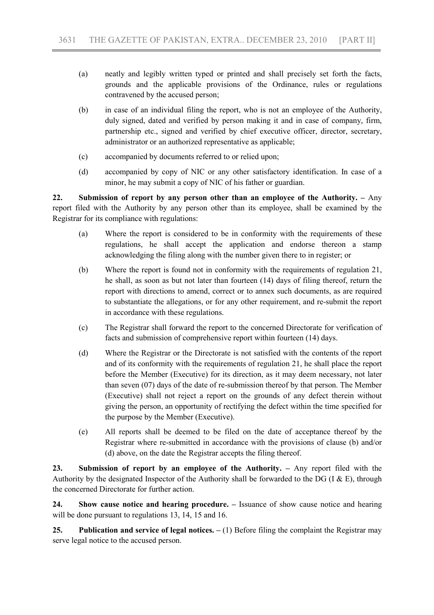- (a) neatly and legibly written typed or printed and shall precisely set forth the facts, grounds and the applicable provisions of the Ordinance, rules or regulations contravened by the accused person;
- (b) in case of an individual filing the report, who is not an employee of the Authority, duly signed, dated and verified by person making it and in case of company, firm, partnership etc., signed and verified by chief executive officer, director, secretary, administrator or an authorized representative as applicable;
- (c) accompanied by documents referred to or relied upon;
- (d) accompanied by copy of NIC or any other satisfactory identification. In case of a minor, he may submit a copy of NIC of his father or guardian.

22. Submission of report by any person other than an employee of the Authority. – Any report filed with the Authority by any person other than its employee, shall be examined by the Registrar for its compliance with regulations:

- (a) Where the report is considered to be in conformity with the requirements of these regulations, he shall accept the application and endorse thereon a stamp acknowledging the filing along with the number given there to in register; or
- (b) Where the report is found not in conformity with the requirements of regulation 21, he shall, as soon as but not later than fourteen (14) days of filing thereof, return the report with directions to amend, correct or to annex such documents, as are required to substantiate the allegations, or for any other requirement, and re-submit the report in accordance with these regulations.
- (c) The Registrar shall forward the report to the concerned Directorate for verification of facts and submission of comprehensive report within fourteen (14) days.
- (d) Where the Registrar or the Directorate is not satisfied with the contents of the report and of its conformity with the requirements of regulation 21, he shall place the report before the Member (Executive) for its direction, as it may deem necessary, not later than seven (07) days of the date of re-submission thereof by that person. The Member (Executive) shall not reject a report on the grounds of any defect therein without giving the person, an opportunity of rectifying the defect within the time specified for the purpose by the Member (Executive).
- (e) All reports shall be deemed to be filed on the date of acceptance thereof by the Registrar where re-submitted in accordance with the provisions of clause (b) and/or (d) above, on the date the Registrar accepts the filing thereof.

23. Submission of report by an employee of the Authority. – Any report filed with the Authority by the designated Inspector of the Authority shall be forwarded to the DG (I  $\&$  E), through the concerned Directorate for further action.

24. Show cause notice and hearing procedure. – Issuance of show cause notice and hearing will be done pursuant to regulations 13, 14, 15 and 16.

25. Publication and service of legal notices.  $- (1)$  Before filing the complaint the Registrar may serve legal notice to the accused person.